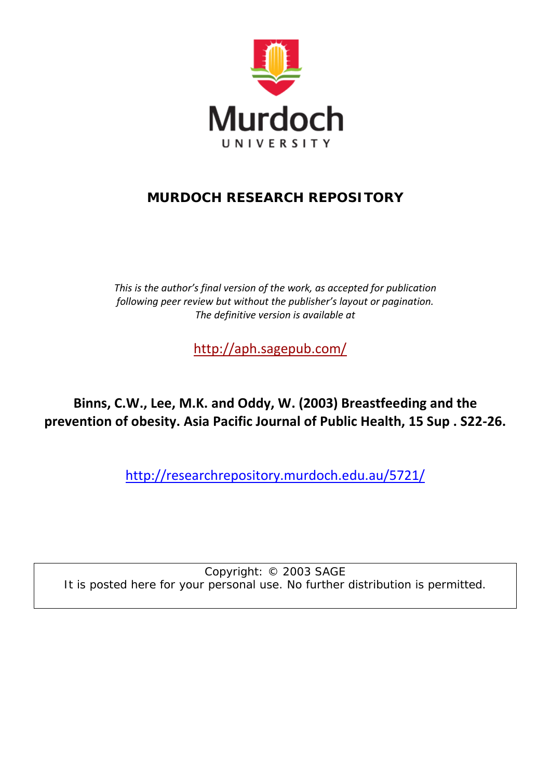

# **MURDOCH RESEARCH REPOSITORY**

*This is the author's final version of the work, as accepted for publication following peer review but without the publisher's layout or pagination. The definitive version is available at*

<http://aph.sagepub.com/>

**Binns, C.W., Lee, M.K. and Oddy, W. (2003) Breastfeeding and the prevention of obesity. Asia Pacific Journal of Public Health, 15 Sup . S22-26.**

<http://researchrepository.murdoch.edu.au/5721/>

Copyright: © 2003 SAGE It is posted here for your personal use. No further distribution is permitted.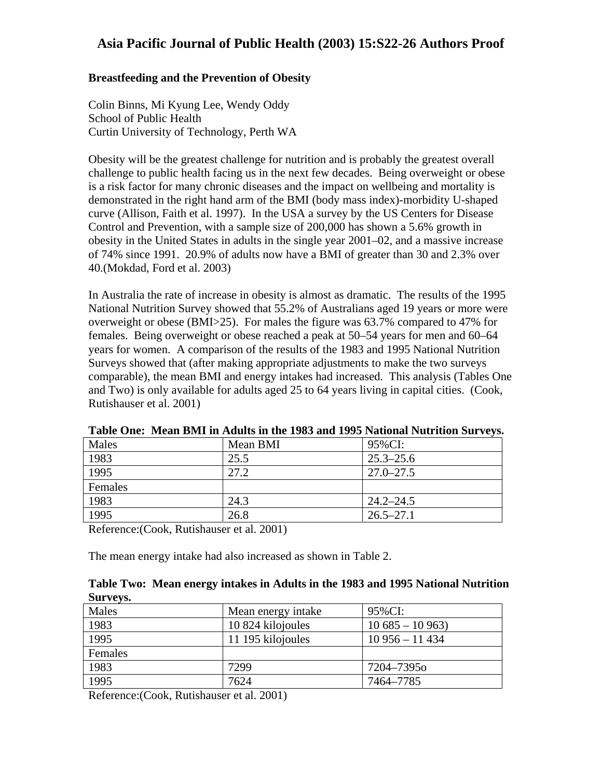#### **Breastfeeding and the Prevention of Obesity**

Colin Binns, Mi Kyung Lee, Wendy Oddy School of Public Health Curtin University of Technology, Perth WA

Obesity will be the greatest challenge for nutrition and is probably the greatest overall challenge to public health facing us in the next few decades. Being overweight or obese is a risk factor for many chronic diseases and the impact on wellbeing and mortality is demonstrated in the right hand arm of the BMI (body mass index)-morbidity U-shaped curve (Allison, Faith et al. 1997). In the USA a survey by the US Centers for Disease Control and Prevention, with a sample size of 200,000 has shown a 5.6% growth in obesity in the United States in adults in the single year 2001–02, and a massive increase of 74% since 1991. 20.9% of adults now have a BMI of greater than 30 and 2.3% over 40.(Mokdad, Ford et al. 2003)

In Australia the rate of increase in obesity is almost as dramatic. The results of the 1995 National Nutrition Survey showed that 55.2% of Australians aged 19 years or more were overweight or obese (BMI>25). For males the figure was 63.7% compared to 47% for females. Being overweight or obese reached a peak at 50–54 years for men and 60–64 years for women. A comparison of the results of the 1983 and 1995 National Nutrition Surveys showed that (after making appropriate adjustments to make the two surveys comparable), the mean BMI and energy intakes had increased. This analysis (Tables One and Two) is only available for adults aged 25 to 64 years living in capital cities. (Cook, Rutishauser et al. 2001)

| Males   | Mean BMI | $\bullet$<br>95%CI: |
|---------|----------|---------------------|
| 1983    | 25.5     | $25.3 - 25.6$       |
| 1995    | 27.2     | $27.0 - 27.5$       |
| Females |          |                     |
| 1983    | 24.3     | $24.2 - 24.5$       |
| 1995    | 26.8     | $26.5 - 27.1$       |

**Table One: Mean BMI in Adults in the 1983 and 1995 National Nutrition Surveys.** 

Reference:(Cook, Rutishauser et al. 2001)

The mean energy intake had also increased as shown in Table 2.

#### **Table Two: Mean energy intakes in Adults in the 1983 and 1995 National Nutrition Surveys.**

| Males   | Mean energy intake | 95%CI:          |
|---------|--------------------|-----------------|
| 1983    | 10 824 kilojoules  | $10685 - 10963$ |
| 1995    | 11 195 kilojoules  | $10956 - 11434$ |
| Females |                    |                 |
| 1983    | 7299               | 7204–73950      |
| 1995    | 7624               | 7464–7785       |

Reference:(Cook, Rutishauser et al. 2001)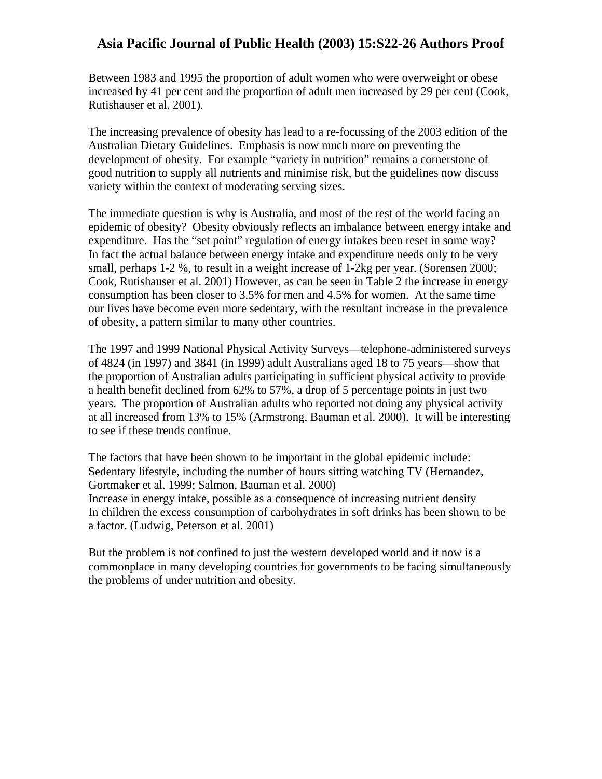Between 1983 and 1995 the proportion of adult women who were overweight or obese increased by 41 per cent and the proportion of adult men increased by 29 per cent (Cook, Rutishauser et al. 2001).

The increasing prevalence of obesity has lead to a re-focussing of the 2003 edition of the Australian Dietary Guidelines. Emphasis is now much more on preventing the development of obesity. For example "variety in nutrition" remains a cornerstone of good nutrition to supply all nutrients and minimise risk, but the guidelines now discuss variety within the context of moderating serving sizes.

The immediate question is why is Australia, and most of the rest of the world facing an epidemic of obesity? Obesity obviously reflects an imbalance between energy intake and expenditure. Has the "set point" regulation of energy intakes been reset in some way? In fact the actual balance between energy intake and expenditure needs only to be very small, perhaps 1-2 %, to result in a weight increase of 1-2kg per year. (Sorensen 2000; Cook, Rutishauser et al. 2001) However, as can be seen in Table 2 the increase in energy consumption has been closer to 3.5% for men and 4.5% for women. At the same time our lives have become even more sedentary, with the resultant increase in the prevalence of obesity, a pattern similar to many other countries.

The 1997 and 1999 National Physical Activity Surveys—telephone-administered surveys of 4824 (in 1997) and 3841 (in 1999) adult Australians aged 18 to 75 years—show that the proportion of Australian adults participating in sufficient physical activity to provide a health benefit declined from 62% to 57%, a drop of 5 percentage points in just two years. The proportion of Australian adults who reported not doing any physical activity at all increased from 13% to 15% (Armstrong, Bauman et al. 2000). It will be interesting to see if these trends continue.

The factors that have been shown to be important in the global epidemic include: Sedentary lifestyle, including the number of hours sitting watching TV (Hernandez, Gortmaker et al. 1999; Salmon, Bauman et al. 2000) Increase in energy intake, possible as a consequence of increasing nutrient density In children the excess consumption of carbohydrates in soft drinks has been shown to be a factor. (Ludwig, Peterson et al. 2001)

But the problem is not confined to just the western developed world and it now is a commonplace in many developing countries for governments to be facing simultaneously the problems of under nutrition and obesity.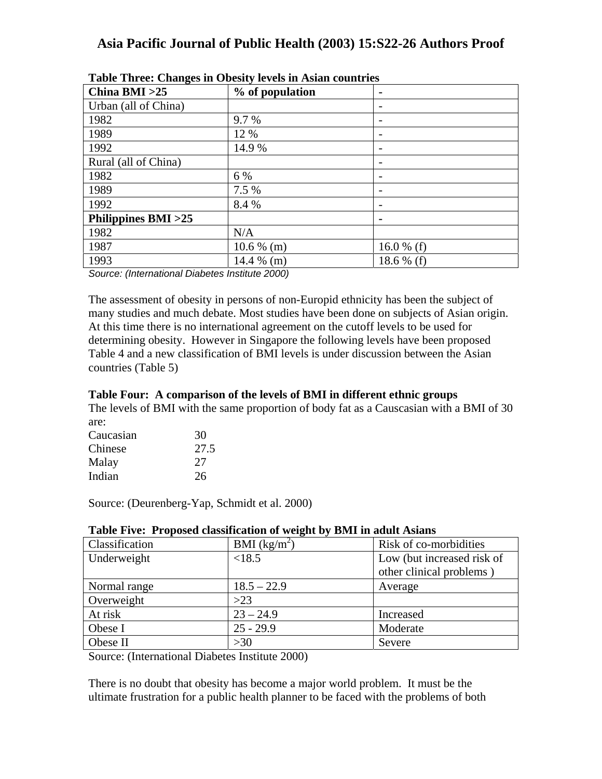| $      -$<br>China BMI $>25$ | % of population | $\blacksquare$ |
|------------------------------|-----------------|----------------|
| Urban (all of China)         |                 |                |
| 1982                         | 9.7 %           |                |
| 1989                         | 12 %            |                |
| 1992                         | 14.9 %          |                |
| Rural (all of China)         |                 |                |
| 1982                         | 6 %             |                |
| 1989                         | 7.5 %           |                |
| 1992                         | 8.4 %           |                |
| Philippines BMI >25          |                 |                |
| 1982                         | N/A             |                |
| 1987                         | $10.6\%$ (m)    | 16.0 % (f)     |
| 1993                         | 14.4 $%$ (m)    | 18.6 % (f)     |

|  | Table Three: Changes in Obesity levels in Asian countries |  |  |
|--|-----------------------------------------------------------|--|--|
|  |                                                           |  |  |

*Source: (International Diabetes Institute 2000)*

The assessment of obesity in persons of non-Europid ethnicity has been the subject of many studies and much debate. Most studies have been done on subjects of Asian origin. At this time there is no international agreement on the cutoff levels to be used for determining obesity. However in Singapore the following levels have been proposed Table 4 and a new classification of BMI levels is under discussion between the Asian countries (Table 5)

### **Table Four: A comparison of the levels of BMI in different ethnic groups**

The levels of BMI with the same proportion of body fat as a Causcasian with a BMI of 30 are:

| 30   |
|------|
| 27.5 |
| 27   |
| 26   |
|      |

Source: (Deurenberg-Yap, Schmidt et al. 2000)

| Classification | BMI $(kg/m^2)$ | Risk of co-morbidities     |
|----------------|----------------|----------------------------|
| Underweight    | < 18.5         | Low (but increased risk of |
|                |                | other clinical problems)   |
| Normal range   | $18.5 - 22.9$  | Average                    |
| Overweight     | $>23$          |                            |
| At risk        | $23 - 24.9$    | Increased                  |
| Obese I        | $25 - 29.9$    | Moderate                   |
| Obese II       | >30            | Severe                     |

#### **Table Five: Proposed classification of weight by BMI in adult Asians**

Source: (International Diabetes Institute 2000)

There is no doubt that obesity has become a major world problem. It must be the ultimate frustration for a public health planner to be faced with the problems of both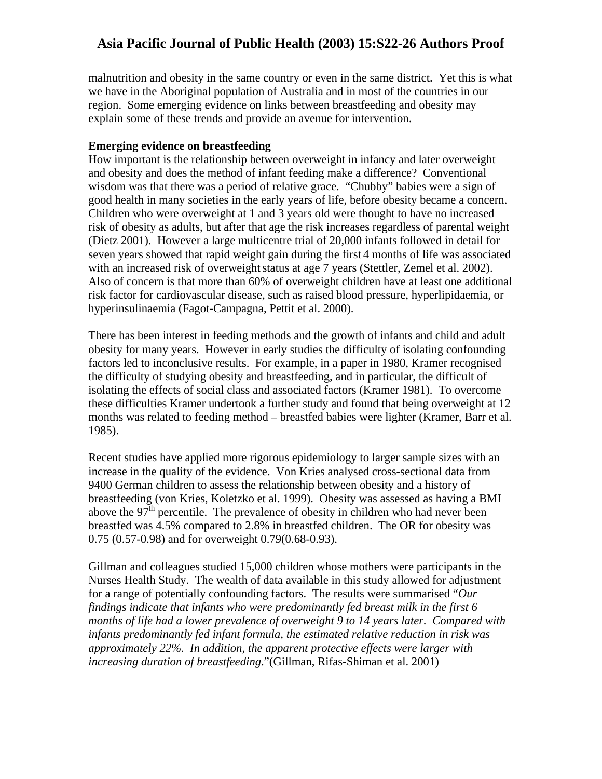malnutrition and obesity in the same country or even in the same district. Yet this is what we have in the Aboriginal population of Australia and in most of the countries in our region. Some emerging evidence on links between breastfeeding and obesity may explain some of these trends and provide an avenue for intervention.

#### **Emerging evidence on breastfeeding**

How important is the relationship between overweight in infancy and later overweight and obesity and does the method of infant feeding make a difference? Conventional wisdom was that there was a period of relative grace. "Chubby" babies were a sign of good health in many societies in the early years of life, before obesity became a concern. Children who were overweight at 1 and 3 years old were thought to have no increased risk of obesity as adults, but after that age the risk increases regardless of parental weight (Dietz 2001). However a large multicentre trial of 20,000 infants followed in detail for seven years showed that rapid weight gain during the first 4 months of life was associated with an increased risk of overweight status at age 7 years (Stettler, Zemel et al. 2002). Also of concern is that more than 60% of overweight children have at least one additional risk factor for cardiovascular disease, such as raised blood pressure, hyperlipidaemia, or hyperinsulinaemia (Fagot-Campagna, Pettit et al. 2000).

There has been interest in feeding methods and the growth of infants and child and adult obesity for many years. However in early studies the difficulty of isolating confounding factors led to inconclusive results. For example, in a paper in 1980, Kramer recognised the difficulty of studying obesity and breastfeeding, and in particular, the difficult of isolating the effects of social class and associated factors (Kramer 1981). To overcome these difficulties Kramer undertook a further study and found that being overweight at 12 months was related to feeding method – breastfed babies were lighter (Kramer, Barr et al. 1985).

Recent studies have applied more rigorous epidemiology to larger sample sizes with an increase in the quality of the evidence. Von Kries analysed cross-sectional data from 9400 German children to assess the relationship between obesity and a history of breastfeeding (von Kries, Koletzko et al. 1999). Obesity was assessed as having a BMI above the  $97<sup>th</sup>$  percentile. The prevalence of obesity in children who had never been breastfed was 4.5% compared to 2.8% in breastfed children. The OR for obesity was 0.75 (0.57-0.98) and for overweight 0.79(0.68-0.93).

Gillman and colleagues studied 15,000 children whose mothers were participants in the Nurses Health Study. The wealth of data available in this study allowed for adjustment for a range of potentially confounding factors. The results were summarised "*Our findings indicate that infants who were predominantly fed breast milk in the first 6 months of life had a lower prevalence of overweight 9 to 14 years later. Compared with infants predominantly fed infant formula, the estimated relative reduction in risk was approximately 22%. In addition, the apparent protective effects were larger with increasing duration of breastfeeding*."(Gillman, Rifas-Shiman et al. 2001)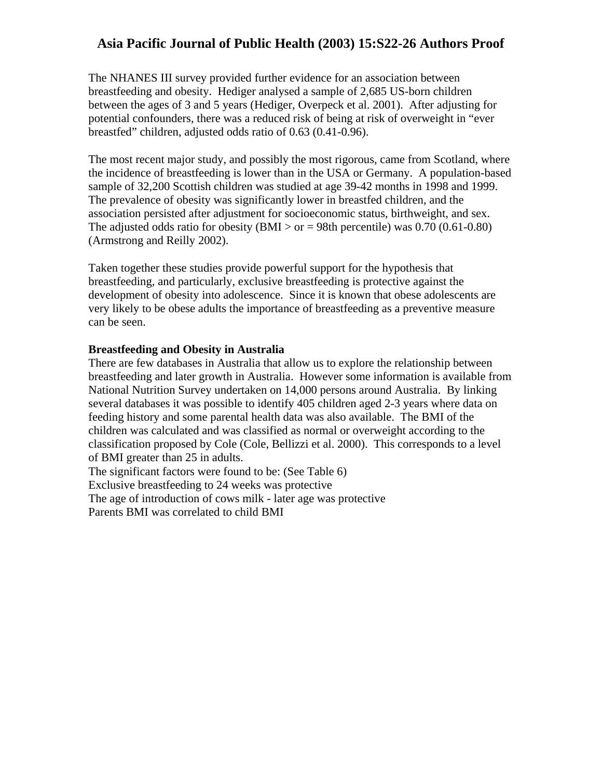The NHANES III survey provided further evidence for an association between breastfeeding and obesity. Hediger analysed a sample of 2,685 US-born children between the ages of 3 and 5 years (Hediger, Overpeck et al. 2001). After adjusting for potential confounders, there was a reduced risk of being at risk of overweight in "ever breastfed" children, adjusted odds ratio of 0.63 (0.41-0.96).

The most recent major study, and possibly the most rigorous, came from Scotland, where the incidence of breastfeeding is lower than in the USA or Germany. A population-based sample of 32,200 Scottish children was studied at age 39-42 months in 1998 and 1999. The prevalence of obesity was significantly lower in breastfed children, and the association persisted after adjustment for socioeconomic status, birthweight, and sex. The adjusted odds ratio for obesity (BMI  $>$  or = 98th percentile) was 0.70 (0.61-0.80) (Armstrong and Reilly 2002).

Taken together these studies provide powerful support for the hypothesis that breastfeeding, and particularly, exclusive breastfeeding is protective against the development of obesity into adolescence. Since it is known that obese adolescents are very likely to be obese adults the importance of breastfeeding as a preventive measure can be seen.

#### **Breastfeeding and Obesity in Australia**

There are few databases in Australia that allow us to explore the relationship between breastfeeding and later growth in Australia. However some information is available from National Nutrition Survey undertaken on 14,000 persons around Australia. By linking several databases it was possible to identify 405 children aged 2-3 years where data on feeding history and some parental health data was also available. The BMI of the children was calculated and was classified as normal or overweight according to the classification proposed by Cole (Cole, Bellizzi et al. 2000). This corresponds to a level of BMI greater than 25 in adults. The significant factors were found to be: (See Table 6)

Exclusive breastfeeding to 24 weeks was protective

The age of introduction of cows milk - later age was protective

Parents BMI was correlated to child BMI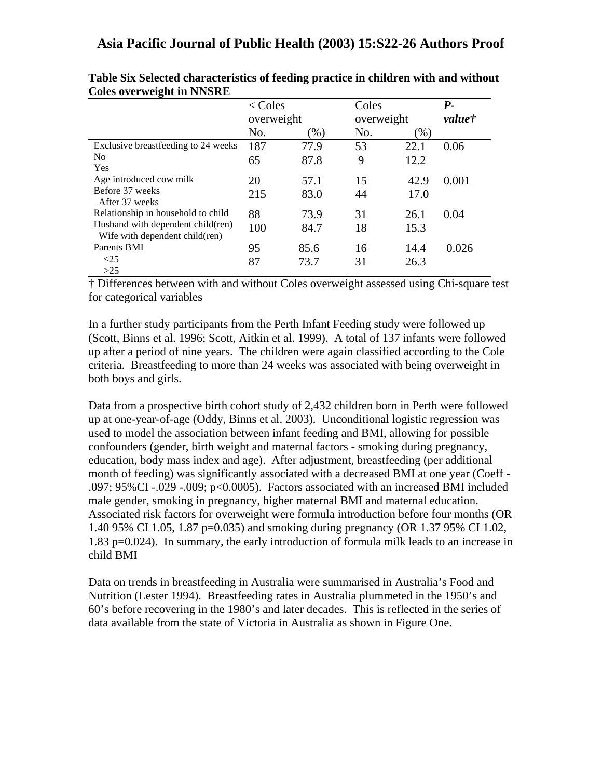|                                                                       | $<$ Coles  |        | Coles      |        | $P_{-}$ |
|-----------------------------------------------------------------------|------------|--------|------------|--------|---------|
|                                                                       | overweight |        | overweight |        | value†  |
|                                                                       | No.        | $(\%)$ | No.        | $(\%)$ |         |
| Exclusive breastfeeding to 24 weeks                                   | 187        | 77.9   | 53         | 22.1   | 0.06    |
| N <sub>0</sub><br>Yes                                                 | 65         | 87.8   | 9          | 12.2   |         |
| Age introduced cow milk                                               | 20         | 57.1   | 15         | 42.9   | 0.001   |
| Before 37 weeks<br>After 37 weeks                                     | 215        | 83.0   | 44         | 17.0   |         |
| Relationship in household to child                                    | 88         | 73.9   | 31         | 26.1   | 0.04    |
| Husband with dependent child (ren)<br>Wife with dependent child (ren) | 100        | 84.7   | 18         | 15.3   |         |
| Parents BMI                                                           | 95         | 85.6   | 16         | 14.4   | 0.026   |
| $\leq$ 25<br>>25                                                      | 87         | 73.7   | 31         | 26.3   |         |

| Table Six Selected characteristics of feeding practice in children with and without |  |
|-------------------------------------------------------------------------------------|--|
| <b>Coles overweight in NNSRE</b>                                                    |  |

† Differences between with and without Coles overweight assessed using Chi-square test for categorical variables

In a further study participants from the Perth Infant Feeding study were followed up (Scott, Binns et al. 1996; Scott, Aitkin et al. 1999). A total of 137 infants were followed up after a period of nine years. The children were again classified according to the Cole criteria. Breastfeeding to more than 24 weeks was associated with being overweight in both boys and girls.

Data from a prospective birth cohort study of 2,432 children born in Perth were followed up at one-year-of-age (Oddy, Binns et al. 2003). Unconditional logistic regression was used to model the association between infant feeding and BMI, allowing for possible confounders (gender, birth weight and maternal factors - smoking during pregnancy, education, body mass index and age). After adjustment, breastfeeding (per additional month of feeding) was significantly associated with a decreased BMI at one year (Coeff - .097; 95%CI -.029 -.009; p<0.0005). Factors associated with an increased BMI included male gender, smoking in pregnancy, higher maternal BMI and maternal education. Associated risk factors for overweight were formula introduction before four months (OR 1.40 95% CI 1.05, 1.87 p=0.035) and smoking during pregnancy (OR 1.37 95% CI 1.02, 1.83 p=0.024). In summary, the early introduction of formula milk leads to an increase in child BMI

Data on trends in breastfeeding in Australia were summarised in Australia's Food and Nutrition (Lester 1994). Breastfeeding rates in Australia plummeted in the 1950's and 60's before recovering in the 1980's and later decades. This is reflected in the series of data available from the state of Victoria in Australia as shown in Figure One.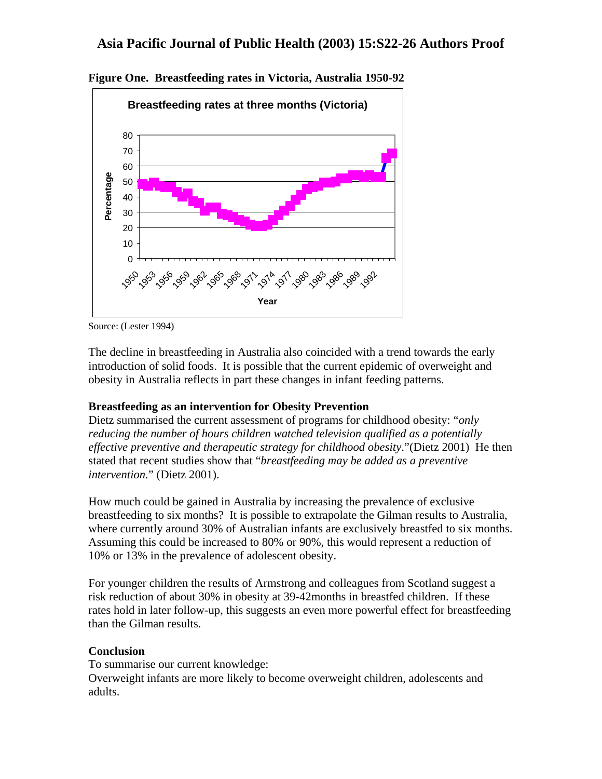

**Figure One. Breastfeeding rates in Victoria, Australia 1950-92** 

Source: (Lester 1994)

The decline in breastfeeding in Australia also coincided with a trend towards the early introduction of solid foods. It is possible that the current epidemic of overweight and obesity in Australia reflects in part these changes in infant feeding patterns.

### **Breastfeeding as an intervention for Obesity Prevention**

Dietz summarised the current assessment of programs for childhood obesity: "*only reducing the number of hours children watched television qualified as a potentially effective preventive and therapeutic strategy for childhood obesity*."(Dietz 2001) He then stated that recent studies show that "*breastfeeding may be added as a preventive intervention.*" (Dietz 2001).

How much could be gained in Australia by increasing the prevalence of exclusive breastfeeding to six months? It is possible to extrapolate the Gilman results to Australia, where currently around 30% of Australian infants are exclusively breastfed to six months. Assuming this could be increased to 80% or 90%, this would represent a reduction of 10% or 13% in the prevalence of adolescent obesity.

For younger children the results of Armstrong and colleagues from Scotland suggest a risk reduction of about 30% in obesity at 39-42months in breastfed children. If these rates hold in later follow-up, this suggests an even more powerful effect for breastfeeding than the Gilman results.

### **Conclusion**

To summarise our current knowledge: Overweight infants are more likely to become overweight children, adolescents and adults.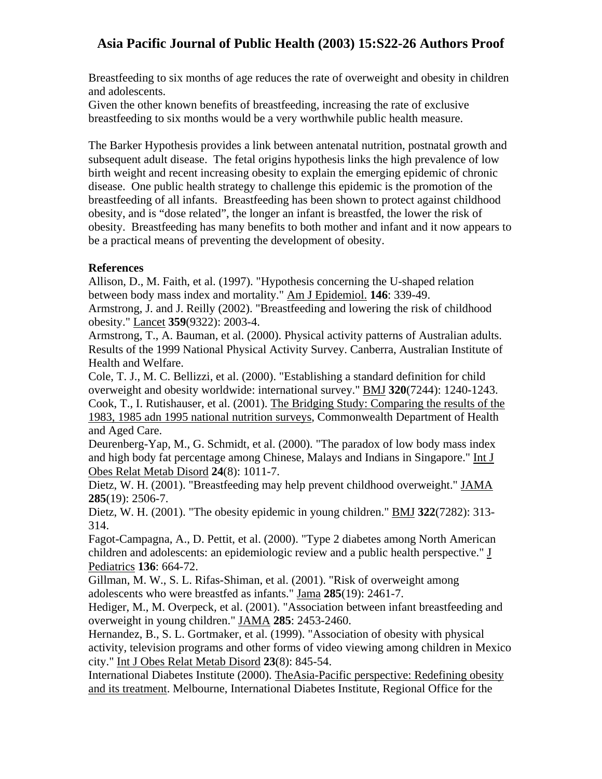Breastfeeding to six months of age reduces the rate of overweight and obesity in children and adolescents.

Given the other known benefits of breastfeeding, increasing the rate of exclusive breastfeeding to six months would be a very worthwhile public health measure.

The Barker Hypothesis provides a link between antenatal nutrition, postnatal growth and subsequent adult disease. The fetal origins hypothesis links the high prevalence of low birth weight and recent increasing obesity to explain the emerging epidemic of chronic disease. One public health strategy to challenge this epidemic is the promotion of the breastfeeding of all infants. Breastfeeding has been shown to protect against childhood obesity, and is "dose related", the longer an infant is breastfed, the lower the risk of obesity. Breastfeeding has many benefits to both mother and infant and it now appears to be a practical means of preventing the development of obesity.

### **References**

Allison, D., M. Faith, et al. (1997). "Hypothesis concerning the U-shaped relation between body mass index and mortality." Am J Epidemiol. **146**: 339-49.

Armstrong, J. and J. Reilly (2002). "Breastfeeding and lowering the risk of childhood obesity." Lancet **359**(9322): 2003-4.

Armstrong, T., A. Bauman, et al. (2000). Physical activity patterns of Australian adults. Results of the 1999 National Physical Activity Survey. Canberra, Australian Institute of Health and Welfare.

Cole, T. J., M. C. Bellizzi, et al. (2000). "Establishing a standard definition for child overweight and obesity worldwide: international survey." BMJ **320**(7244): 1240-1243. Cook, T., I. Rutishauser, et al. (2001). The Bridging Study: Comparing the results of the 1983, 1985 adn 1995 national nutrition surveys, Commonwealth Department of Health and Aged Care.

Deurenberg-Yap, M., G. Schmidt, et al. (2000). "The paradox of low body mass index and high body fat percentage among Chinese, Malays and Indians in Singapore." Int J Obes Relat Metab Disord **24**(8): 1011-7.

Dietz, W. H. (2001). "Breastfeeding may help prevent childhood overweight." JAMA **285**(19): 2506-7.

Dietz, W. H. (2001). "The obesity epidemic in young children." BMJ **322**(7282): 313- 314.

Fagot-Campagna, A., D. Pettit, et al. (2000). "Type 2 diabetes among North American children and adolescents: an epidemiologic review and a public health perspective." J Pediatrics **136**: 664-72.

Gillman, M. W., S. L. Rifas-Shiman, et al. (2001). "Risk of overweight among adolescents who were breastfed as infants." Jama **285**(19): 2461-7.

Hediger, M., M. Overpeck, et al. (2001). "Association between infant breastfeeding and overweight in young children." JAMA **285**: 2453-2460.

Hernandez, B., S. L. Gortmaker, et al. (1999). "Association of obesity with physical activity, television programs and other forms of video viewing among children in Mexico city." Int J Obes Relat Metab Disord **23**(8): 845-54.

International Diabetes Institute (2000). TheAsia-Pacific perspective: Redefining obesity and its treatment. Melbourne, International Diabetes Institute, Regional Office for the